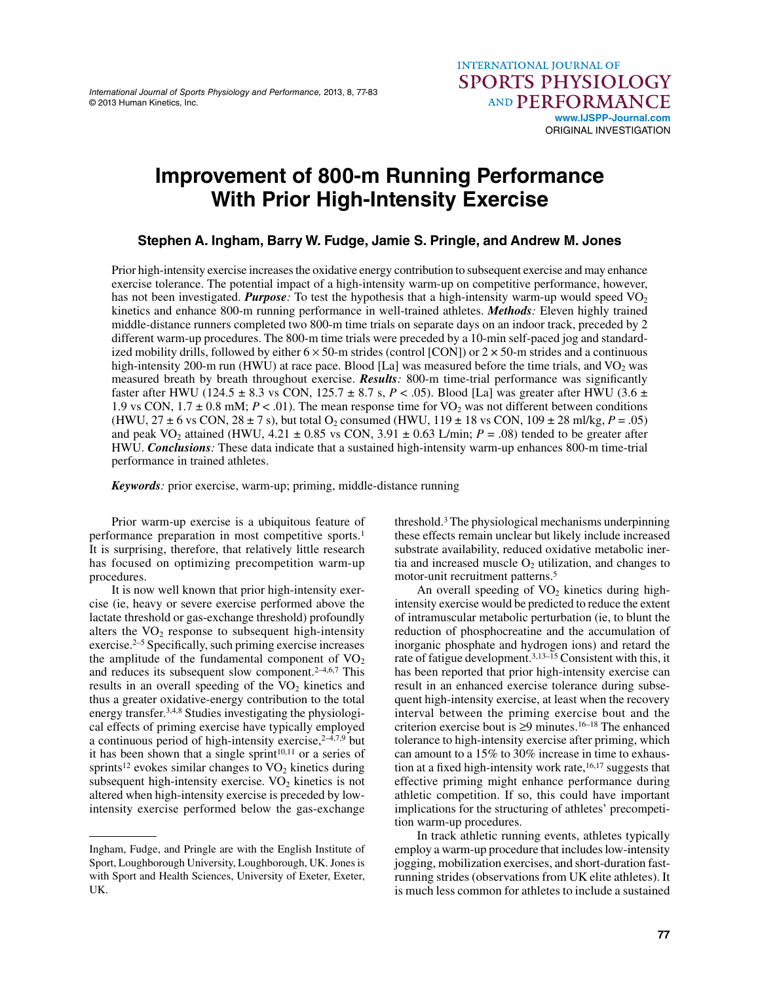International Journal of Sports Physiology and Performance, 2013, 8, 77-83 © 2013 Human Kinetics, Inc.

# **Improvement of 800-m Running Performance With Prior High-Intensity Exercise**

**Stephen A. Ingham, Barry W. Fudge, Jamie S. Pringle, and Andrew M. Jones**

Prior high-intensity exercise increases the oxidative energy contribution to subsequent exercise and may enhance exercise tolerance. The potential impact of a high-intensity warm-up on competitive performance, however, has not been investigated. *Purpose*: To test the hypothesis that a high-intensity warm-up would speed  $VO<sub>2</sub>$ kinetics and enhance 800-m running performance in well-trained athletes. *Methods:* Eleven highly trained middle-distance runners completed two 800-m time trials on separate days on an indoor track, preceded by 2 different warm-up procedures. The 800-m time trials were preceded by a 10-min self-paced jog and standardized mobility drills, followed by either  $6 \times 50$ -m strides (control [CON]) or  $2 \times 50$ -m strides and a continuous high-intensity 200-m run (HWU) at race pace. Blood [La] was measured before the time trials, and  $VO<sub>2</sub>$  was measured breath by breath throughout exercise. **Results**: 800-m time-trial performance was significantly faster after HWU (124.5  $\pm$  8.3 vs CON, 125.7  $\pm$  8.7 s, *P* < .05). Blood [La] was greater after HWU (3.6  $\pm$ 1.9 vs CON,  $1.7 \pm 0.8$  mM;  $P < .01$ ). The mean response time for VO<sub>2</sub> was not different between conditions (HWU,  $27 \pm 6$  vs CON,  $28 \pm 7$  s), but total O<sub>2</sub> consumed (HWU,  $119 \pm 18$  vs CON,  $109 \pm 28$  ml/kg,  $P = .05$ ) and peak VO<sub>2</sub> attained (HWU,  $4.21 \pm 0.85$  vs CON,  $3.91 \pm 0.63$  L/min;  $P = .08$ ) tended to be greater after HWU. *Conclusions:* These data indicate that a sustained high-intensity warm-up enhances 800-m time-trial performance in trained athletes.

*Keywords:* prior exercise, warm-up; priming, middle-distance running

Prior warm-up exercise is a ubiquitous feature of performance preparation in most competitive sports.1 It is surprising, therefore, that relatively little research has focused on optimizing precompetition warm-up procedures.

It is now well known that prior high-intensity exercise (ie, heavy or severe exercise performed above the lactate threshold or gas-exchange threshold) profoundly alters the  $VO<sub>2</sub>$  response to subsequent high-intensity exercise. $2-5$  Specifically, such priming exercise increases the amplitude of the fundamental component of  $VO<sub>2</sub>$ and reduces its subsequent slow component. $2-4,6,7$  This results in an overall speeding of the  $VO<sub>2</sub>$  kinetics and thus a greater oxidative-energy contribution to the total energy transfer.3,4,8 Studies investigating the physiological effects of priming exercise have typically employed a continuous period of high-intensity exercise,  $2-4,7,9$  but it has been shown that a single sprint<sup>10,11</sup> or a series of sprints<sup>12</sup> evokes similar changes to  $VO<sub>2</sub>$  kinetics during subsequent high-intensity exercise.  $VO<sub>2</sub>$  kinetics is not altered when high-intensity exercise is preceded by lowintensity exercise performed below the gas-exchange

threshold.3 The physiological mechanisms underpinning these effects remain unclear but likely include increased substrate availability, reduced oxidative metabolic inertia and increased muscle  $O<sub>2</sub>$  utilization, and changes to motor-unit recruitment patterns.<sup>5</sup>

An overall speeding of  $VO<sub>2</sub>$  kinetics during highintensity exercise would be predicted to reduce the extent of intramuscular metabolic perturbation (ie, to blunt the reduction of phosphocreatine and the accumulation of inorganic phosphate and hydrogen ions) and retard the rate of fatigue development.3,13–15 Consistent with this, it has been reported that prior high-intensity exercise can result in an enhanced exercise tolerance during subsequent high-intensity exercise, at least when the recovery interval between the priming exercise bout and the criterion exercise bout is  $\geq$ 9 minutes.<sup>16–18</sup> The enhanced tolerance to high-intensity exercise after priming, which can amount to a 15% to 30% increase in time to exhaustion at a fixed high-intensity work rate, $16,17$  suggests that effective priming might enhance performance during athletic competition. If so, this could have important implications for the structuring of athletes' precompetition warm-up procedures.

In track athletic running events, athletes typically employ a warm-up procedure that includes low-intensity jogging, mobilization exercises, and short-duration fastrunning strides (observations from UK elite athletes). It is much less common for athletes to include a sustained

Ingham, Fudge, and Pringle are with the English Institute of Sport, Loughborough University, Loughborough, UK. Jones is with Sport and Health Sciences, University of Exeter, Exeter, UK.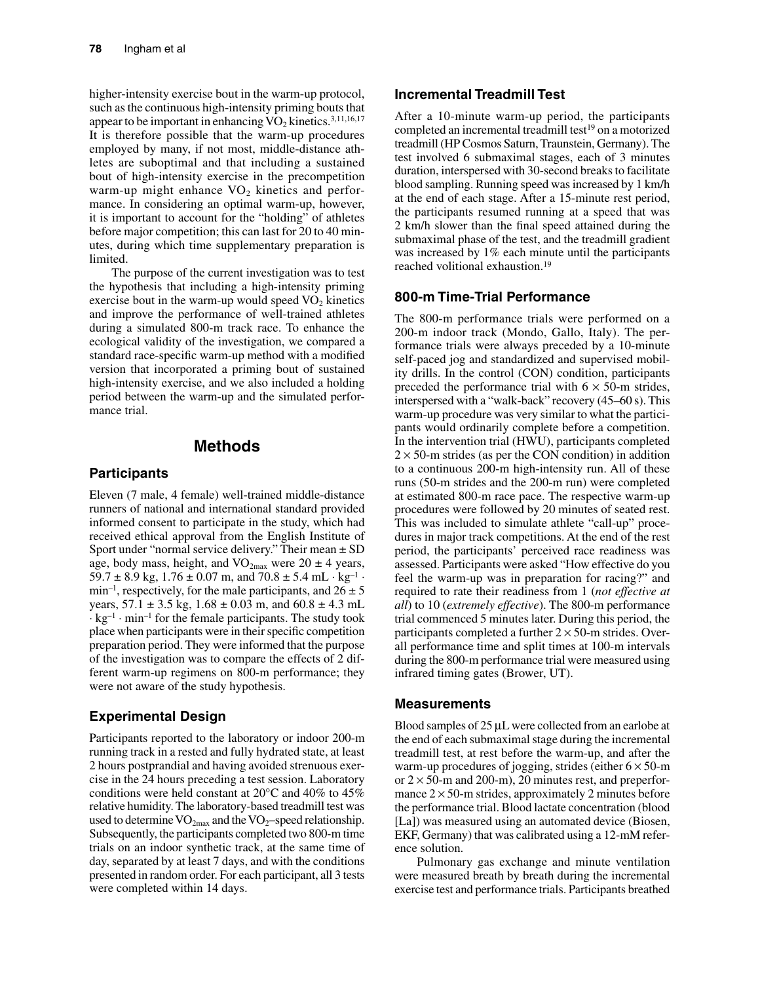higher-intensity exercise bout in the warm-up protocol, such as the continuous high-intensity priming bouts that appear to be important in enhancing  $VO<sub>2</sub>$  kinetics.<sup>3,11,16,17</sup> It is therefore possible that the warm-up procedures employed by many, if not most, middle-distance athletes are suboptimal and that including a sustained bout of high-intensity exercise in the precompetition warm-up might enhance  $VO<sub>2</sub>$  kinetics and performance. In considering an optimal warm-up, however, it is important to account for the "holding" of athletes before major competition; this can last for 20 to 40 minutes, during which time supplementary preparation is limited.

The purpose of the current investigation was to test the hypothesis that including a high-intensity priming exercise bout in the warm-up would speed  $VO<sub>2</sub>$  kinetics and improve the performance of well-trained athletes during a simulated 800-m track race. To enhance the ecological validity of the investigation, we compared a standard race-specific warm-up method with a modified version that incorporated a priming bout of sustained high-intensity exercise, and we also included a holding period between the warm-up and the simulated performance trial.

## **Methods**

## **Participants**

Eleven (7 male, 4 female) well-trained middle-distance runners of national and international standard provided informed consent to participate in the study, which had received ethical approval from the English Institute of Sport under "normal service delivery." Their mean  $\pm$  SD age, body mass, height, and  $VO_{2max}$  were  $20 \pm 4$  years, 59.7  $\pm$  8.9 kg, 1.76  $\pm$  0.07 m, and 70.8  $\pm$  5.4 mL · kg<sup>-1</sup> · min<sup>-1</sup>, respectively, for the male participants, and  $26 \pm 5$ years,  $57.1 \pm 3.5$  kg,  $1.68 \pm 0.03$  m, and  $60.8 \pm 4.3$  mL  $\cdot$  kg<sup>-1</sup>  $\cdot$  min<sup>-1</sup> for the female participants. The study took place when participants were in their specific competition preparation period. They were informed that the purpose of the investigation was to compare the effects of 2 different warm-up regimens on 800-m performance; they were not aware of the study hypothesis.

# **Experimental Design**

Participants reported to the laboratory or indoor 200-m running track in a rested and fully hydrated state, at least 2 hours postprandial and having avoided strenuous exercise in the 24 hours preceding a test session. Laboratory conditions were held constant at 20°C and 40% to 45% relative humidity. The laboratory-based treadmill test was used to determine  $VO_{2max}$  and the  $VO_2$ –speed relationship. Subsequently, the participants completed two 800-m time trials on an indoor synthetic track, at the same time of day, separated by at least 7 days, and with the conditions presented in random order. For each participant, all 3 tests were completed within 14 days.

## **Incremental Treadmill Test**

After a 10-minute warm-up period, the participants completed an incremental treadmill test<sup>19</sup> on a motorized treadmill (HP Cosmos Saturn, Traunstein, Germany). The test involved 6 submaximal stages, each of 3 minutes duration, interspersed with 30-second breaks to facilitate blood sampling. Running speed was increased by 1 km/h at the end of each stage. After a 15-minute rest period, the participants resumed running at a speed that was 2 km/h slower than the final speed attained during the submaximal phase of the test, and the treadmill gradient was increased by 1% each minute until the participants reached volitional exhaustion.19

## **800-m Time-Trial Performance**

The 800-m performance trials were performed on a 200-m indoor track (Mondo, Gallo, Italy). The performance trials were always preceded by a 10-minute self-paced jog and standardized and supervised mobility drills. In the control (CON) condition, participants preceded the performance trial with  $6 \times 50$ -m strides, interspersed with a "walk-back" recovery (45–60 s). This warm-up procedure was very similar to what the participants would ordinarily complete before a competition. In the intervention trial (HWU), participants completed  $2 \times 50$ -m strides (as per the CON condition) in addition to a continuous 200-m high-intensity run. All of these runs (50-m strides and the 200-m run) were completed at estimated 800-m race pace. The respective warm-up procedures were followed by 20 minutes of seated rest. This was included to simulate athlete "call-up" procedures in major track competitions. At the end of the rest period, the participants' perceived race readiness was assessed. Participants were asked "How effective do you feel the warm-up was in preparation for racing?" and required to rate their readiness from 1 (*not effective at all*) to 10 (*extremely effective*). The 800-m performance trial commenced 5 minutes later. During this period, the participants completed a further  $2 \times 50$ -m strides. Overall performance time and split times at 100-m intervals during the 800-m performance trial were measured using infrared timing gates (Brower, UT).

#### **Measurements**

Blood samples of 25 μL were collected from an earlobe at the end of each submaximal stage during the incremental treadmill test, at rest before the warm-up, and after the warm-up procedures of jogging, strides (either  $6 \times 50$ -m or  $2 \times 50$ -m and 200-m), 20 minutes rest, and preperformance  $2 \times 50$ -m strides, approximately 2 minutes before the performance trial. Blood lactate concentration (blood [La]) was measured using an automated device (Biosen, EKF, Germany) that was calibrated using a 12-mM reference solution.

Pulmonary gas exchange and minute ventilation were measured breath by breath during the incremental exercise test and performance trials. Participants breathed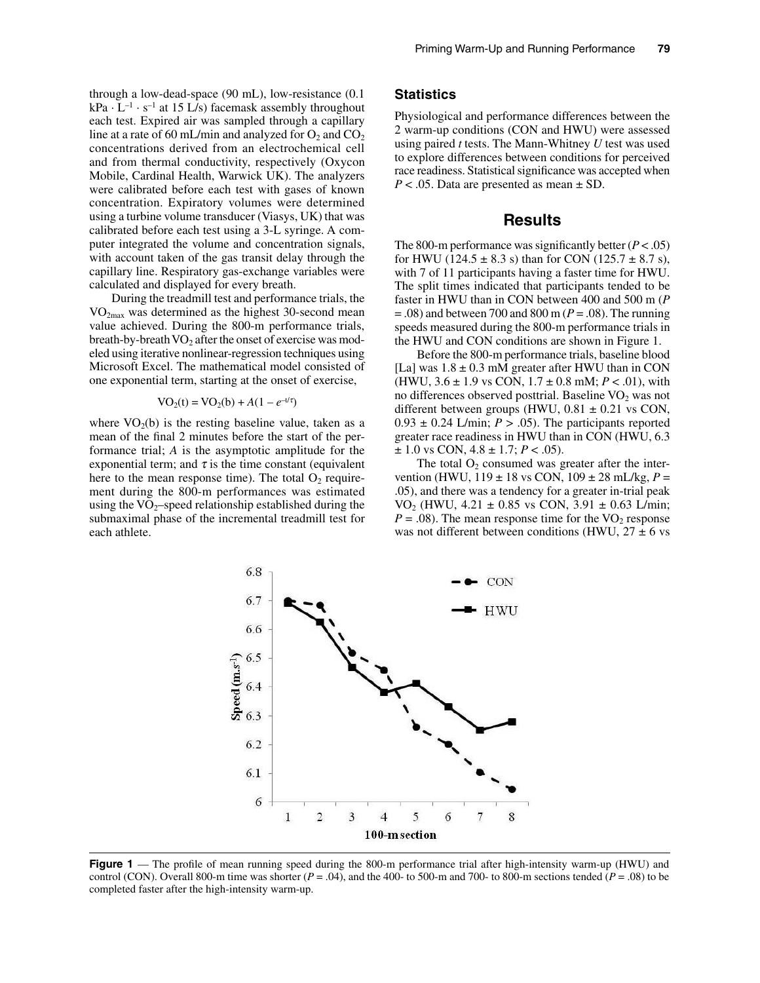through a low-dead-space (90 mL), low-resistance (0.1  $kPa \cdot L^{-1} \cdot s^{-1}$  at 15 L/s) facemask assembly throughout each test. Expired air was sampled through a capillary line at a rate of 60 mL/min and analyzed for  $O_2$  and  $CO_2$ concentrations derived from an electrochemical cell and from thermal conductivity, respectively (Oxycon Mobile, Cardinal Health, Warwick UK). The analyzers were calibrated before each test with gases of known concentration. Expiratory volumes were determined using a turbine volume transducer (Viasys, UK) that was calibrated before each test using a 3-L syringe. A computer integrated the volume and concentration signals, with account taken of the gas transit delay through the capillary line. Respiratory gas-exchange variables were calculated and displayed for every breath.

During the treadmill test and performance trials, the VO2max was determined as the highest 30-second mean value achieved. During the 800-m performance trials, breath-by-breath  $VO<sub>2</sub>$  after the onset of exercise was modeled using iterative nonlinear-regression techniques using Microsoft Excel. The mathematical model consisted of one exponential term, starting at the onset of exercise,

$$
VO_2(t) = VO_2(b) + A(1 - e^{-t/\tau})
$$

where  $VO<sub>2</sub>(b)$  is the resting baseline value, taken as a mean of the final 2 minutes before the start of the performance trial; *A* is the asymptotic amplitude for the exponential term; and  $\tau$  is the time constant (equivalent here to the mean response time). The total  $O_2$  requirement during the 800-m performances was estimated using the  $VO_2$ -speed relationship established during the submaximal phase of the incremental treadmill test for each athlete.

#### **Statistics**

Physiological and performance differences between the 2 warm-up conditions (CON and HWU) were assessed using paired *t* tests. The Mann-Whitney *U* test was used to explore differences between conditions for perceived race readiness. Statistical significance was accepted when *P* < .05. Data are presented as mean ± SD.

## **Results**

The 800-m performance was significantly better  $(P < .05)$ for HWU (124.5  $\pm$  8.3 s) than for CON (125.7  $\pm$  8.7 s), with 7 of 11 participants having a faster time for HWU. The split times indicated that participants tended to be faster in HWU than in CON between 400 and 500 m (*P* = .08) and between 700 and 800 m (*P* = .08). The running speeds measured during the 800-m performance trials in the HWU and CON conditions are shown in Figure 1.

Before the 800-m performance trials, baseline blood [La] was  $1.8 \pm 0.3$  mM greater after HWU than in CON (HWU,  $3.6 \pm 1.9$  vs CON,  $1.7 \pm 0.8$  mM;  $P < .01$ ), with no differences observed posttrial. Baseline  $VO<sub>2</sub>$  was not different between groups (HWU,  $0.81 \pm 0.21$  vs CON,  $0.93 \pm 0.24$  L/min;  $P > .05$ ). The participants reported greater race readiness in HWU than in CON (HWU, 6.3  $\pm$  1.0 vs CON, 4.8  $\pm$  1.7; *P* < .05).

The total  $O_2$  consumed was greater after the intervention (HWU, 119 ± 18 vs CON, 109 ± 28 mL/kg, *P* = .05), and there was a tendency for a greater in-trial peak VO<sub>2</sub> (HWU, 4.21  $\pm$  0.85 vs CON, 3.91  $\pm$  0.63 L/min;  $P = .08$ ). The mean response time for the VO<sub>2</sub> response was not different between conditions (HWU,  $27 \pm 6$  vs



**Figure 1** — The profile of mean running speed during the 800-m performance trial after high-intensity warm-up (HWU) and control (CON). Overall 800-m time was shorter  $(P = .04)$ , and the 400- to 500-m and 700- to 800-m sections tended  $(P = .08)$  to be completed faster after the high-intensity warm-up.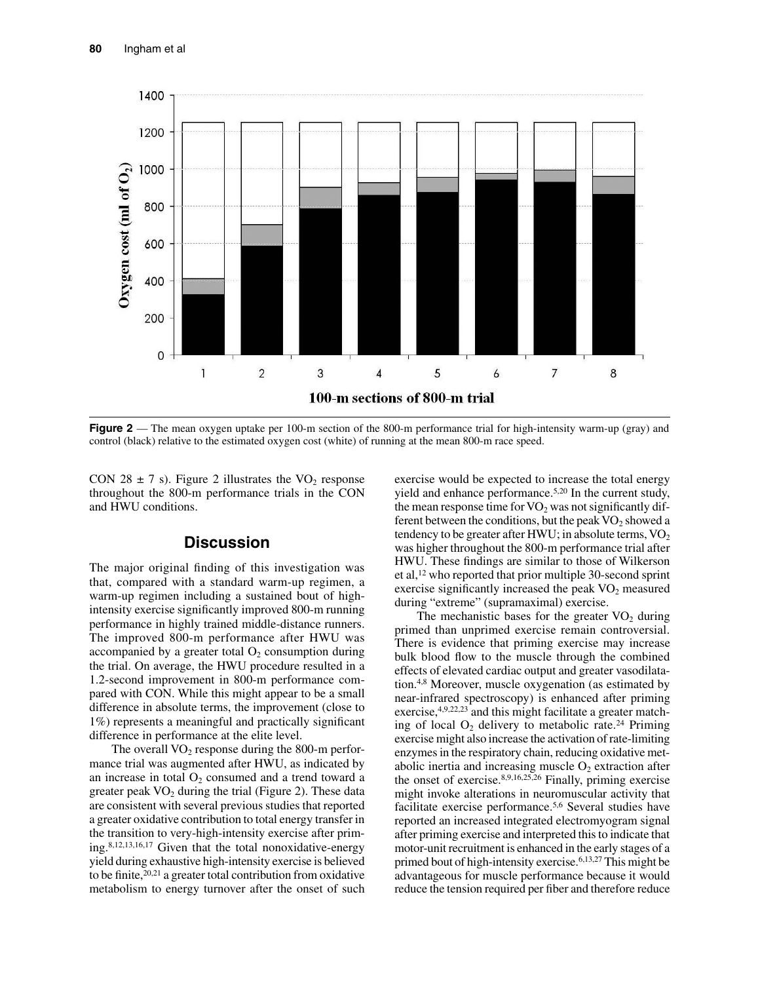

**Figure 2** — The mean oxygen uptake per 100-m section of the 800-m performance trial for high-intensity warm-up (gray) and control (black) relative to the estimated oxygen cost (white) of running at the mean 800-m race speed.

CON 28  $\pm$  7 s). Figure 2 illustrates the VO<sub>2</sub> response throughout the 800-m performance trials in the CON and HWU conditions.

## **Discussion**

The major original finding of this investigation was that, compared with a standard warm-up regimen, a warm-up regimen including a sustained bout of highintensity exercise significantly improved 800-m running performance in highly trained middle-distance runners. The improved 800-m performance after HWU was accompanied by a greater total  $O_2$  consumption during the trial. On average, the HWU procedure resulted in a 1.2-second improvement in 800-m performance compared with CON. While this might appear to be a small difference in absolute terms, the improvement (close to 1%) represents a meaningful and practically significant difference in performance at the elite level.

The overall  $VO<sub>2</sub>$  response during the 800-m performance trial was augmented after HWU, as indicated by an increase in total  $O_2$  consumed and a trend toward a greater peak  $VO<sub>2</sub>$  during the trial (Figure 2). These data are consistent with several previous studies that reported a greater oxidative contribution to total energy transfer in the transition to very-high-intensity exercise after priming.8,12,13,16,17 Given that the total nonoxidative-energy yield during exhaustive high-intensity exercise is believed to be finite,  $20,21$  a greater total contribution from oxidative metabolism to energy turnover after the onset of such

exercise would be expected to increase the total energy yield and enhance performance.5,20 In the current study, the mean response time for  $VO<sub>2</sub>$  was not significantly different between the conditions, but the peak  $VO<sub>2</sub>$  showed a tendency to be greater after HWU; in absolute terms,  $VO<sub>2</sub>$ was higher throughout the 800-m performance trial after HWU. These findings are similar to those of Wilkerson et al,12 who reported that prior multiple 30-second sprint exercise significantly increased the peak  $VO<sub>2</sub>$  measured during "extreme" (supramaximal) exercise.

The mechanistic bases for the greater  $VO<sub>2</sub>$  during primed than unprimed exercise remain controversial. There is evidence that priming exercise may increase bulk blood flow to the muscle through the combined effects of elevated cardiac output and greater vasodilatation.4,8 Moreover, muscle oxygenation (as estimated by near-infrared spectroscopy) is enhanced after priming exercise,  $4,9,22,23$  and this might facilitate a greater matching of local  $O_2$  delivery to metabolic rate.<sup>24</sup> Priming exercise might also increase the activation of rate-limiting enzymes in the respiratory chain, reducing oxidative metabolic inertia and increasing muscle  $O_2$  extraction after the onset of exercise. $8,9,16,25,26$  Finally, priming exercise might invoke alterations in neuromuscular activity that facilitate exercise performance.5,6 Several studies have reported an increased integrated electromyogram signal after priming exercise and interpreted this to indicate that motor-unit recruitment is enhanced in the early stages of a primed bout of high-intensity exercise.6,13,27 This might be advantageous for muscle performance because it would reduce the tension required per fiber and therefore reduce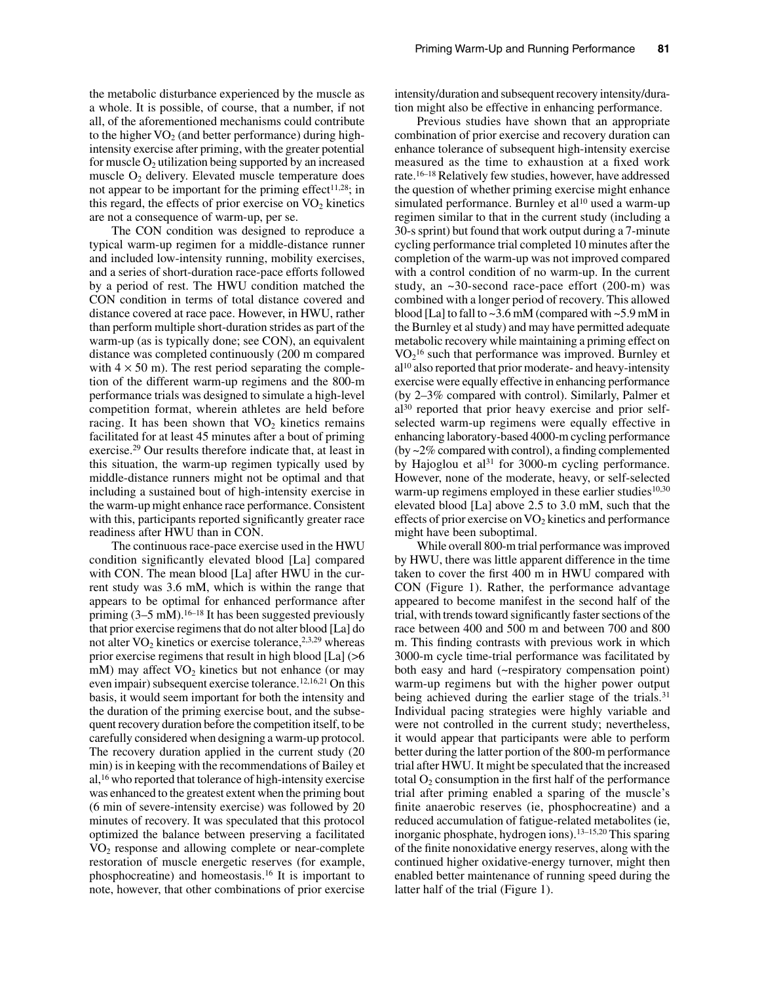the metabolic disturbance experienced by the muscle as a whole. It is possible, of course, that a number, if not all, of the aforementioned mechanisms could contribute to the higher  $VO<sub>2</sub>$  (and better performance) during highintensity exercise after priming, with the greater potential for muscle  $O_2$  utilization being supported by an increased muscle  $O_2$  delivery. Elevated muscle temperature does not appear to be important for the priming effect $11,28$ ; in this regard, the effects of prior exercise on  $VO<sub>2</sub>$  kinetics are not a consequence of warm-up, per se.

The CON condition was designed to reproduce a typical warm-up regimen for a middle-distance runner and included low-intensity running, mobility exercises, and a series of short-duration race-pace efforts followed by a period of rest. The HWU condition matched the CON condition in terms of total distance covered and distance covered at race pace. However, in HWU, rather than perform multiple short-duration strides as part of the warm-up (as is typically done; see CON), an equivalent distance was completed continuously (200 m compared with  $4 \times 50$  m). The rest period separating the completion of the different warm-up regimens and the 800-m performance trials was designed to simulate a high-level competition format, wherein athletes are held before racing. It has been shown that  $VO<sub>2</sub>$  kinetics remains facilitated for at least 45 minutes after a bout of priming exercise.29 Our results therefore indicate that, at least in this situation, the warm-up regimen typically used by middle-distance runners might not be optimal and that including a sustained bout of high-intensity exercise in the warm-up might enhance race performance. Consistent with this, participants reported significantly greater race readiness after HWU than in CON.

The continuous race-pace exercise used in the HWU condition significantly elevated blood [La] compared with CON. The mean blood [La] after HWU in the current study was 3.6 mM, which is within the range that appears to be optimal for enhanced performance after priming  $(3-5 \text{ mM})$ .<sup>16–18</sup> It has been suggested previously that prior exercise regimens that do not alter blood [La] do not alter  $VO<sub>2</sub>$  kinetics or exercise tolerance,<sup>2,3,29</sup> whereas prior exercise regimens that result in high blood [La] (>6 mM) may affect  $VO<sub>2</sub>$  kinetics but not enhance (or may even impair) subsequent exercise tolerance.12,16,21 On this basis, it would seem important for both the intensity and the duration of the priming exercise bout, and the subsequent recovery duration before the competition itself, to be carefully considered when designing a warm-up protocol. The recovery duration applied in the current study (20 min) is in keeping with the recommendations of Bailey et al,16 who reported that tolerance of high-intensity exercise was enhanced to the greatest extent when the priming bout (6 min of severe-intensity exercise) was followed by 20 minutes of recovery. It was speculated that this protocol optimized the balance between preserving a facilitated VO<sub>2</sub> response and allowing complete or near-complete restoration of muscle energetic reserves (for example, phosphocreatine) and homeostasis.16 It is important to note, however, that other combinations of prior exercise

intensity/duration and subsequent recovery intensity/duration might also be effective in enhancing performance.

Previous studies have shown that an appropriate combination of prior exercise and recovery duration can enhance tolerance of subsequent high-intensity exercise measured as the time to exhaustion at a fixed work rate.16–18 Relatively few studies, however, have addressed the question of whether priming exercise might enhance simulated performance. Burnley et al<sup>10</sup> used a warm-up regimen similar to that in the current study (including a 30-s sprint) but found that work output during a 7-minute cycling performance trial completed 10 minutes after the completion of the warm-up was not improved compared with a control condition of no warm-up. In the current study, an ~30-second race-pace effort (200-m) was combined with a longer period of recovery. This allowed blood [La] to fall to  $\sim$ 3.6 mM (compared with  $\sim$ 5.9 mM in the Burnley et al study) and may have permitted adequate metabolic recovery while maintaining a priming effect on VO2 16 such that performance was improved. Burnley et al10 also reported that prior moderate- and heavy-intensity exercise were equally effective in enhancing performance (by 2–3% compared with control). Similarly, Palmer et al30 reported that prior heavy exercise and prior selfselected warm-up regimens were equally effective in enhancing laboratory-based 4000-m cycling performance (by  $\sim$ 2% compared with control), a finding complemented by Hajoglou et al $31$  for 3000-m cycling performance. However, none of the moderate, heavy, or self-selected warm-up regimens employed in these earlier studies<sup>10,30</sup> elevated blood [La] above 2.5 to 3.0 mM, such that the effects of prior exercise on  $\text{VO}_2$  kinetics and performance might have been suboptimal.

While overall 800-m trial performance was improved by HWU, there was little apparent difference in the time taken to cover the first 400 m in HWU compared with CON (Figure 1). Rather, the performance advantage appeared to become manifest in the second half of the trial, with trends toward significantly faster sections of the race between 400 and 500 m and between 700 and 800 m. This finding contrasts with previous work in which 3000-m cycle time-trial performance was facilitated by both easy and hard (~respiratory compensation point) warm-up regimens but with the higher power output being achieved during the earlier stage of the trials.<sup>31</sup> Individual pacing strategies were highly variable and were not controlled in the current study; nevertheless, it would appear that participants were able to perform better during the latter portion of the 800-m performance trial after HWU. It might be speculated that the increased total  $O_2$  consumption in the first half of the performance trial after priming enabled a sparing of the muscle's finite anaerobic reserves (ie, phosphocreatine) and a reduced accumulation of fatigue-related metabolites (ie, inorganic phosphate, hydrogen ions).13–15,20 This sparing of the finite nonoxidative energy reserves, along with the continued higher oxidative-energy turnover, might then enabled better maintenance of running speed during the latter half of the trial (Figure 1).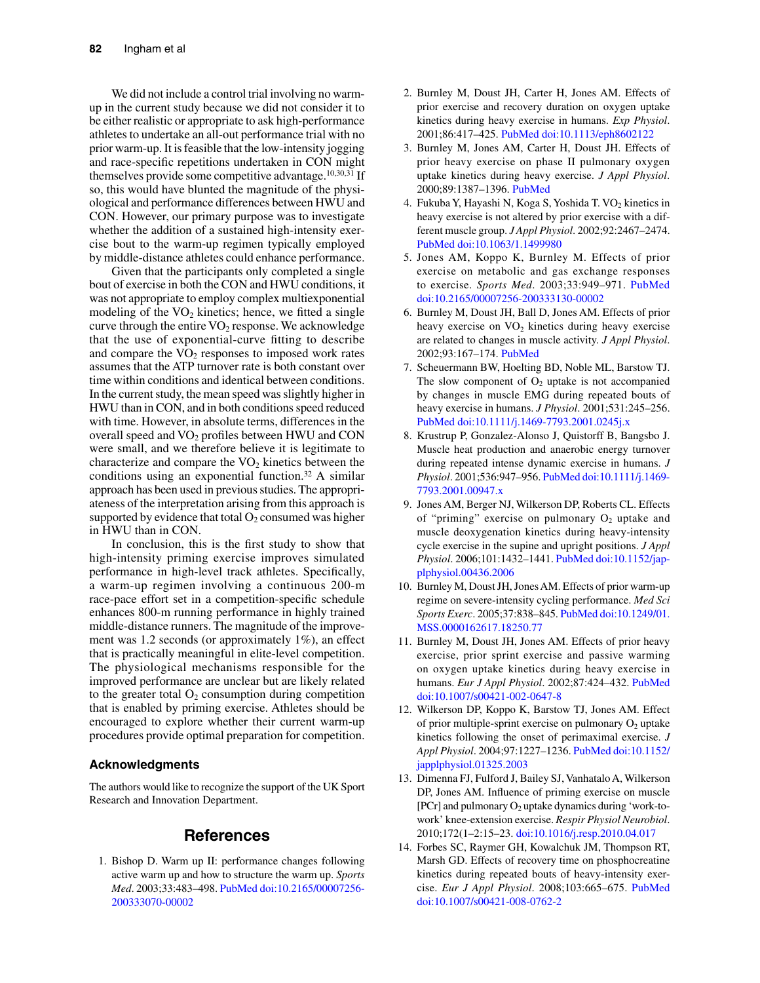We did not include a control trial involving no warmup in the current study because we did not consider it to be either realistic or appropriate to ask high-performance athletes to undertake an all-out performance trial with no prior warm-up. It is feasible that the low-intensity jogging and race-specific repetitions undertaken in CON might themselves provide some competitive advantage.<sup>10,30,31</sup> If so, this would have blunted the magnitude of the physiological and performance differences between HWU and CON. However, our primary purpose was to investigate whether the addition of a sustained high-intensity exercise bout to the warm-up regimen typically employed by middle-distance athletes could enhance performance.

Given that the participants only completed a single bout of exercise in both the CON and HWU conditions, it was not appropriate to employ complex multiexponential modeling of the  $VO<sub>2</sub>$  kinetics; hence, we fitted a single curve through the entire VO<sub>2</sub> response. We acknowledge that the use of exponential-curve fitting to describe and compare the  $VO<sub>2</sub>$  responses to imposed work rates assumes that the ATP turnover rate is both constant over time within conditions and identical between conditions. In the current study, the mean speed was slightly higher in HWU than in CON, and in both conditions speed reduced with time. However, in absolute terms, differences in the overall speed and  $VO<sub>2</sub>$  profiles between HWU and CON were small, and we therefore believe it is legitimate to characterize and compare the  $VO<sub>2</sub>$  kinetics between the conditions using an exponential function.32 A similar approach has been used in previous studies. The appropriateness of the interpretation arising from this approach is supported by evidence that total  $O_2$  consumed was higher in HWU than in CON.

In conclusion, this is the first study to show that high-intensity priming exercise improves simulated performance in high-level track athletes. Specifically, a warm-up regimen involving a continuous 200-m race-pace effort set in a competition-specific schedule enhances 800-m running performance in highly trained middle-distance runners. The magnitude of the improvement was 1.2 seconds (or approximately 1%), an effect that is practically meaningful in elite-level competition. The physiological mechanisms responsible for the improved performance are unclear but are likely related to the greater total  $O_2$  consumption during competition that is enabled by priming exercise. Athletes should be encouraged to explore whether their current warm-up procedures provide optimal preparation for competition.

#### **Acknowledgments**

The authors would like to recognize the support of the UK Sport Research and Innovation Department.

#### **References**

1. Bishop D. Warm up II: performance changes following active warm up and how to structure the warm up. *Sports Med*. 2003;33:483–498. [PubMed](http://www.ncbi.nlm.nih.gov/entrez/query.fcgi?cmd=Retrieve&db=PubMed&list_uids=12762825&dopt=Abstract) [doi:10.2165/00007256-](http://dx.doi.org/10.2165/00007256-200333070-00002) [200333070-00002](http://dx.doi.org/10.2165/00007256-200333070-00002)

- 2. Burnley M, Doust JH, Carter H, Jones AM. Effects of prior exercise and recovery duration on oxygen uptake kinetics during heavy exercise in humans. *Exp Physiol*. 2001;86:417–425. [PubMed](http://www.ncbi.nlm.nih.gov/entrez/query.fcgi?cmd=Retrieve&db=PubMed&list_uids=11429659&dopt=Abstract) [doi:10.1113/eph8602122](http://dx.doi.org/10.1113/eph8602122)
- 3. Burnley M, Jones AM, Carter H, Doust JH. Effects of prior heavy exercise on phase II pulmonary oxygen uptake kinetics during heavy exercise. *J Appl Physiol*. 2000;89:1387–1396. [PubMed](http://www.ncbi.nlm.nih.gov/entrez/query.fcgi?cmd=Retrieve&db=PubMed&list_uids=11007573&dopt=Abstract)
- 4. Fukuba Y, Hayashi N, Koga S, Yoshida T. VO2 kinetics in heavy exercise is not altered by prior exercise with a different muscle group. *J Appl Physiol*. 2002;92:2467–2474. [PubMed](http://www.ncbi.nlm.nih.gov/entrez/query.fcgi?cmd=Retrieve&db=PubMed&list_uids=12015361&dopt=Abstract) [doi:10.1063/1.1499980](http://dx.doi.org/10.1063/1.1499980)
- 5. Jones AM, Koppo K, Burnley M. Effects of prior exercise on metabolic and gas exchange responses to exercise. *Sports Med*. 2003;33:949–971. [PubMed](http://www.ncbi.nlm.nih.gov/entrez/query.fcgi?cmd=Retrieve&db=PubMed&list_uids=14606924&dopt=Abstract) [doi:10.2165/00007256-200333130-00002](http://dx.doi.org/10.2165/00007256-200333130-00002)
- 6. Burnley M, Doust JH, Ball D, Jones AM. Effects of prior heavy exercise on  $VO<sub>2</sub>$  kinetics during heavy exercise are related to changes in muscle activity. *J Appl Physiol*. 2002;93:167–174. [PubMed](http://www.ncbi.nlm.nih.gov/entrez/query.fcgi?cmd=Retrieve&db=PubMed&list_uids=12070201&dopt=Abstract)
- 7. Scheuermann BW, Hoelting BD, Noble ML, Barstow TJ. The slow component of  $O<sub>2</sub>$  uptake is not accompanied by changes in muscle EMG during repeated bouts of heavy exercise in humans. *J Physiol*. 2001;531:245–256. [PubMed](http://www.ncbi.nlm.nih.gov/entrez/query.fcgi?cmd=Retrieve&db=PubMed&list_uids=11179407&dopt=Abstract) [doi:10.1111/j.1469-7793.2001.0245j.x](http://dx.doi.org/10.1111/j.1469-7793.2001.0245j.x)
- 8. Krustrup P, Gonzalez-Alonso J, Quistorff B, Bangsbo J. Muscle heat production and anaerobic energy turnover during repeated intense dynamic exercise in humans. *J Physiol*. 2001;536:947–956. [PubMed](http://www.ncbi.nlm.nih.gov/entrez/query.fcgi?cmd=Retrieve&db=PubMed&list_uids=11691886&dopt=Abstract) [doi:10.1111/j.1469-](http://dx.doi.org/10.1111/j.1469-7793.2001.00947.x) [7793.2001.00947.x](http://dx.doi.org/10.1111/j.1469-7793.2001.00947.x)
- 9. Jones AM, Berger NJ, Wilkerson DP, Roberts CL. Effects of "priming" exercise on pulmonary  $O_2$  uptake and muscle deoxygenation kinetics during heavy-intensity cycle exercise in the supine and upright positions. *J Appl Physiol*. 2006;101:1432–1441[. PubMed](http://www.ncbi.nlm.nih.gov/entrez/query.fcgi?cmd=Retrieve&db=PubMed&list_uids=16857860&dopt=Abstract) [doi:10.1152/jap](http://dx.doi.org/10.1152/japplphysiol.00436.2006)[plphysiol.00436.2006](http://dx.doi.org/10.1152/japplphysiol.00436.2006)
- 10. Burnley M, Doust JH, Jones AM. Effects of prior warm-up regime on severe-intensity cycling performance. *Med Sci Sports Exerc*. 2005;37:838–845. [PubMed](http://www.ncbi.nlm.nih.gov/entrez/query.fcgi?cmd=Retrieve&db=PubMed&list_uids=15870639&dopt=Abstract) [doi:10.1249/01.](http://dx.doi.org/10.1249/01.MSS.0000162617.18250.77) [MSS.0000162617.18250.77](http://dx.doi.org/10.1249/01.MSS.0000162617.18250.77)
- 11. Burnley M, Doust JH, Jones AM. Effects of prior heavy exercise, prior sprint exercise and passive warming on oxygen uptake kinetics during heavy exercise in humans. *Eur J Appl Physiol*. 2002;87:424–432[. PubMed](http://www.ncbi.nlm.nih.gov/entrez/query.fcgi?cmd=Retrieve&db=PubMed&list_uids=12172883&dopt=Abstract) [doi:10.1007/s00421-002-0647-8](http://dx.doi.org/10.1007/s00421-002-0647-8)
- 12. Wilkerson DP, Koppo K, Barstow TJ, Jones AM. Effect of prior multiple-sprint exercise on pulmonary  $O_2$  uptake kinetics following the onset of perimaximal exercise. *J Appl Physiol*. 2004;97:1227–1236[. PubMed](http://www.ncbi.nlm.nih.gov/entrez/query.fcgi?cmd=Retrieve&db=PubMed&list_uids=15145915&dopt=Abstract) [doi:10.1152/](http://dx.doi.org/10.1152/japplphysiol.01325.2003) [japplphysiol.01325.2003](http://dx.doi.org/10.1152/japplphysiol.01325.2003)
- 13. Dimenna FJ, Fulford J, Bailey SJ, Vanhatalo A, Wilkerson DP, Jones AM. Influence of priming exercise on muscle [PCr] and pulmonary  $O_2$  uptake dynamics during 'work-towork' knee-extension exercise. *Respir Physiol Neurobiol*. 2010;172(1–2:15–23. [doi:10.1016/j.resp.2010.04.017](http://dx.doi.org/10.1016/j.resp.2010.04.017)
- 14. Forbes SC, Raymer GH, Kowalchuk JM, Thompson RT, Marsh GD. Effects of recovery time on phosphocreatine kinetics during repeated bouts of heavy-intensity exercise. *Eur J Appl Physiol*. 2008;103:665–675. [PubMed](http://www.ncbi.nlm.nih.gov/entrez/query.fcgi?cmd=Retrieve&db=PubMed&list_uids=18481078&dopt=Abstract) [doi:10.1007/s00421-008-0762-2](http://dx.doi.org/10.1007/s00421-008-0762-2)